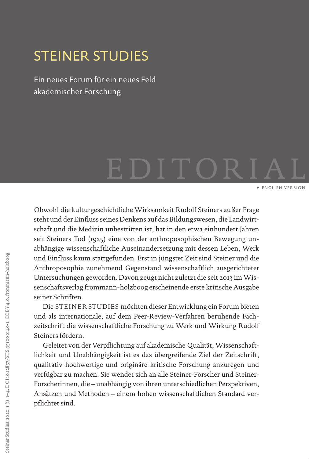## <span id="page-0-0"></span>STEINER STUDIES

Ein neues Forum für ein neues Feld akademischer Forschung

## EDITORIAL [ENGLISH VERSION](#page-2-0)

Obwohl die kulturgeschichtliche Wirksamkeit Rudolf Steiners außer Frage steht und der Einfluss seines Denkens auf das Bildungswesen, die Landwirtschaft und die Medizin unbestritten ist, hat in den etwa einhundert Jahren seit Steiners Tod (1925) eine von der anthroposophischen Bewegung unabhängige wissenschaftliche Auseinandersetzung mit dessen Leben, Werk und Einfluss kaum stattgefunden. Erst in jüngster Zeit sind Steiner und die Anthroposophie zunehmend Gegenstand wissenschaftlich ausgerichteter Untersuchungen geworden. Davon zeugt nicht zuletzt die seit 2013 im Wissenschaftsverlag frommann-holzboog erscheinende erste kritische Ausgabe seiner Schriften.

Die STEINER STUDIES möchten dieser Entwicklung ein Forum bieten und als internationale, auf dem Peer-Review-Verfahren beruhende Fachzeitschrift die wissenschaftliche Forschung zu Werk und Wirkung Rudolf Steiners fördern.

Geleitet von der Verpflichtung auf akademische Qualität, Wissenschaftlichkeit und Unabhängigkeit ist es das übergreifende Ziel der Zeitschrift, qualitativ hochwertige und originäre kritische Forschung anzuregen und verfügbar zu machen. Sie wendet sich an alle Steiner-Forscher und Steiner-Forscherinnen, die – unabhängig von ihren unterschiedlichen Perspektiven, Ansätzen und Methoden – einem hohen wissenschaftlichen Standard verpflichtet sind.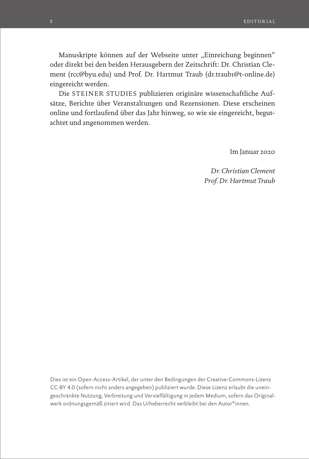Manuskripte können auf der Webseite unter "Einreichung beginnen" oder direkt bei den beiden Herausgebern der Zeitschrift: Dr. Christian Clement (rcc@byu.edu) und Prof. Dr. Hartmut Traub (dr.traub1@t-online.de) eingereicht werden.

Die STEINER STUDIES publizieren originäre wissenschaftliche Aufsätze, Berichte über Veranstaltungen und Rezensionen. Diese erscheinen online und fortlaufend über das Jahr hinweg, so wie sie eingereicht, begutachtet und angenommen werden.

Im Januar 2020

*Dr. Christian Clement Prof. Dr. Hartmut Traub*

Dies ist ein Open-Access-Artikel, der unter den Bedingungen der Creative-Commons-Lizenz CC-BY 4.0 (sofern nicht anders angegeben) publiziert wurde. Diese Lizenz erlaubt die uneingeschränkte Nutzung, Verbreitung und Vervielfältigung in jedem Medium, sofern das Originalwerk ordnungsgemäß zitiert wird. Das Urheberrecht verbleibt bei den Autor\*innen.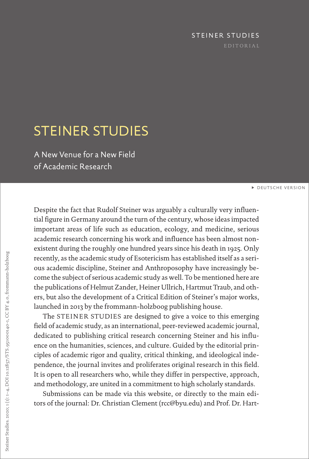## STEINER STUDIES

## <span id="page-2-0"></span>STEINER STUDIES

A New Venue for a New Field of Academic Research

[DEUTSCHE VERSION](#page-0-0)

Despite the fact that Rudolf Steiner was arguably a culturally very influential figure in Germany around the turn of the century, whose ideas impacted important areas of life such as education, ecology, and medicine, serious academic research concerning his work and influence has been almost nonexistent during the roughly one hundred years since his death in 1925. Only recently, as the academic study of Esotericism has established itself as a serious academic discipline, Steiner and Anthroposophy have increasingly become the subject of serious academic study as well. To be mentioned here are the publications of Helmut Zander, Heiner Ullrich, Hartmut Traub, and others, but also the development of a Critical Edition of Steiner's major works, launched in 2013 by the frommann-holzboog publishing house.

The STEINER STUDIES are designed to give a voice to this emerging field of academic study, as an international, peer-reviewed academic journal, dedicated to publishing critical research concerning Steiner and his influence on the humanities, sciences, and culture. Guided by the editorial principles of academic rigor and quality, critical thinking, and ideological independence, the journal invites and proliferates original research in this field. It is open to all researchers who, while they differ in perspective, approach, and methodology, are united in a commitment to high scholarly standards.

Submissions can be made via this website, or directly to the main editors of the journal: Dr. Christian Clement (rcc@byu.edu) and Prof. Dr. Hart